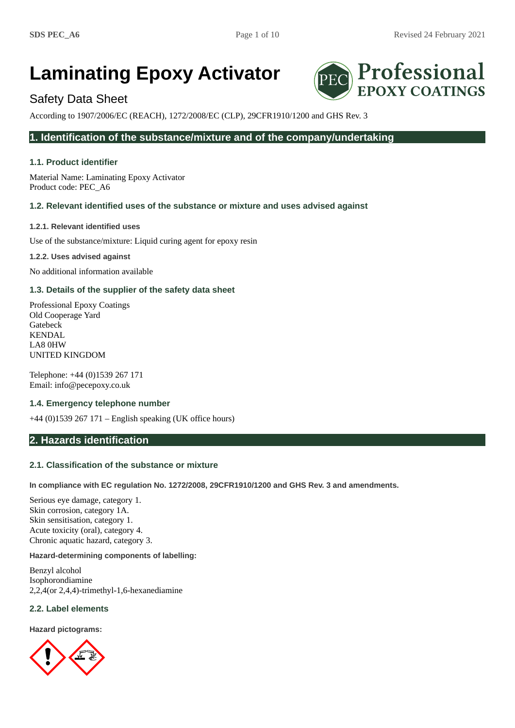Professional

**EPOXY COATINGS** 

# **Laminating Epoxy Activator**

# Safety Data Sheet

According to 1907/2006/EC (REACH), 1272/2008/EC (CLP), 29CFR1910/1200 and GHS Rev. 3

# **1. Identification of the substance/mixture and of the company/undertaking**

# **1.1. Product identifier**

Material Name: Laminating Epoxy Activator Product code: PEC\_A6

# **1.2. Relevant identified uses of the substance or mixture and uses advised against**

### **1.2.1. Relevant identified uses**

Use of the substance/mixture: Liquid curing agent for epoxy resin

**1.2.2. Uses advised against**

No additional information available

# **1.3. Details of the supplier of the safety data sheet**

Professional Epoxy Coatings Old Cooperage Yard Gatebeck KENDAL LA8 0HW UNITED KINGDOM

Telephone: +44 (0)1539 267 171 Email: info@pecepoxy.co.uk

# **1.4. Emergency telephone number**

+44 (0)1539 267 171 – English speaking (UK office hours)

# **2. Hazards identification**

# **2.1. Classification of the substance or mixture**

**In compliance with EC regulation No. 1272/2008, 29CFR1910/1200 and GHS Rev. 3 and amendments.**

Serious eye damage, category 1. Skin corrosion, category 1A. Skin sensitisation, category 1. Acute toxicity (oral), category 4. Chronic aquatic hazard, category 3.

### **Hazard-determining components of labelling:**

Benzyl alcohol Isophorondiamine 2,2,4(or 2,4,4)-trimethyl-1,6-hexanediamine

### **2.2. Label elements**

**Hazard pictograms:**

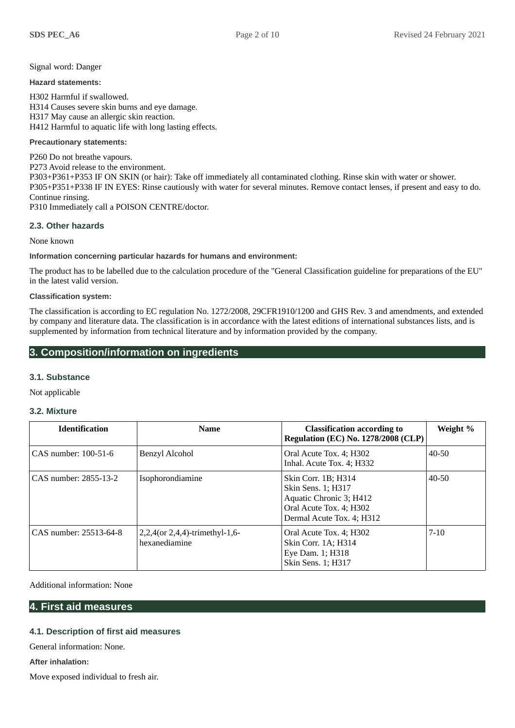Signal word: Danger

**Hazard statements:**

H302 Harmful if swallowed. H314 Causes severe skin burns and eye damage. H317 May cause an allergic skin reaction. H412 Harmful to aquatic life with long lasting effects.

### **Precautionary statements:**

P260 Do not breathe vapours. P273 Avoid release to the environment. P303+P361+P353 IF ON SKIN (or hair): Take off immediately all contaminated clothing. Rinse skin with water or shower. P305+P351+P338 IF IN EYES: Rinse cautiously with water for several minutes. Remove contact lenses, if present and easy to do. Continue rinsing. P310 Immediately call a POISON CENTRE/doctor.

### **2.3. Other hazards**

None known

**Information concerning particular hazards for humans and environment:**

The product has to be labelled due to the calculation procedure of the "General Classification guideline for preparations of the EU" in the latest valid version.

### **Classification system:**

The classification is according to EC regulation No. 1272/2008, 29CFR1910/1200 and GHS Rev. 3 and amendments, and extended by company and literature data. The classification is in accordance with the latest editions of international substances lists, and is supplemented by information from technical literature and by information provided by the company.

# **3. Composition/information on ingredients**

### **3.1. Substance**

Not applicable

# **3.2. Mixture**

| <b>Identification</b>  | <b>Name</b>                                     | <b>Classification according to</b><br><b>Regulation (EC) No. 1278/2008 (CLP)</b>                                             | Weight %  |
|------------------------|-------------------------------------------------|------------------------------------------------------------------------------------------------------------------------------|-----------|
| CAS number: 100-51-6   | <b>Benzyl Alcohol</b>                           | Oral Acute Tox. 4; H302<br>Inhal. Acute Tox. 4; H332                                                                         | 40-50     |
| CAS number: 2855-13-2  | Isophorondiamine                                | Skin Corr. 1B; H314<br>Skin Sens. 1; H317<br>Aquatic Chronic 3; H412<br>Oral Acute Tox. 4; H302<br>Dermal Acute Tox. 4; H312 | $40 - 50$ |
| CAS number: 25513-64-8 | 2,2,4(or 2,4,4)-trimethyl-1,6-<br>hexanediamine | Oral Acute Tox. 4; H302<br>Skin Corr. 1A; H314<br>Eye Dam. 1; H318<br>Skin Sens. 1; H317                                     | $7-10$    |

Additional information: None

### **4. First aid measures**

# **4.1. Description of first aid measures**

General information: None.

**After inhalation:**

Move exposed individual to fresh air.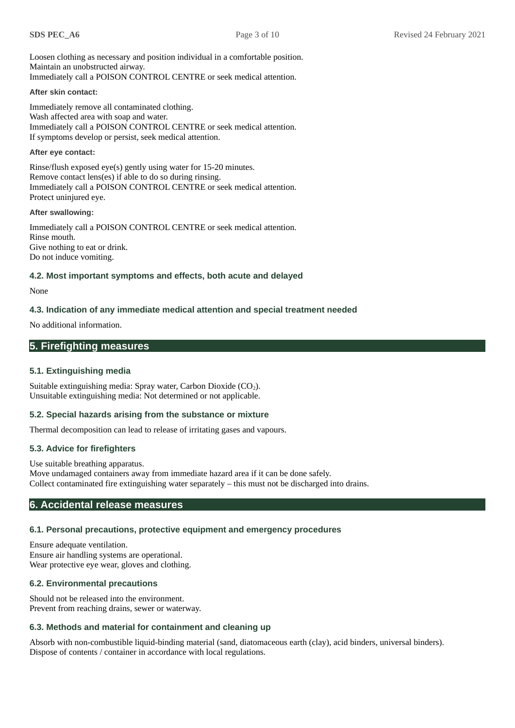Loosen clothing as necessary and position individual in a comfortable position. Maintain an unobstructed airway. Immediately call a POISON CONTROL CENTRE or seek medical attention.

### **After skin contact:**

Immediately remove all contaminated clothing. Wash affected area with soap and water. Immediately call a POISON CONTROL CENTRE or seek medical attention. If symptoms develop or persist, seek medical attention.

### **After eye contact:**

Rinse/flush exposed eye(s) gently using water for 15-20 minutes. Remove contact lens(es) if able to do so during rinsing. Immediately call a POISON CONTROL CENTRE or seek medical attention. Protect uninjured eye.

### **After swallowing:**

Immediately call a POISON CONTROL CENTRE or seek medical attention. Rinse mouth. Give nothing to eat or drink. Do not induce vomiting.

### **4.2. Most important symptoms and effects, both acute and delayed**

### None

# **4.3. Indication of any immediate medical attention and special treatment needed**

No additional information.

# **5. Firefighting measures**

### **5.1. Extinguishing media**

Suitable extinguishing media: Spray water, Carbon Dioxide  $(CO<sub>2</sub>)$ . Unsuitable extinguishing media: Not determined or not applicable.

### **5.2. Special hazards arising from the substance or mixture**

Thermal decomposition can lead to release of irritating gases and vapours.

# **5.3. Advice for firefighters**

Use suitable breathing apparatus. Move undamaged containers away from immediate hazard area if it can be done safely. Collect contaminated fire extinguishing water separately – this must not be discharged into drains.

# **6. Accidental release measures**

# **6.1. Personal precautions, protective equipment and emergency procedures**

Ensure adequate ventilation. Ensure air handling systems are operational. Wear protective eye wear, gloves and clothing.

### **6.2. Environmental precautions**

Should not be released into the environment. Prevent from reaching drains, sewer or waterway.

# **6.3. Methods and material for containment and cleaning up**

Absorb with non-combustible liquid-binding material (sand, diatomaceous earth (clay), acid binders, universal binders). Dispose of contents / container in accordance with local regulations.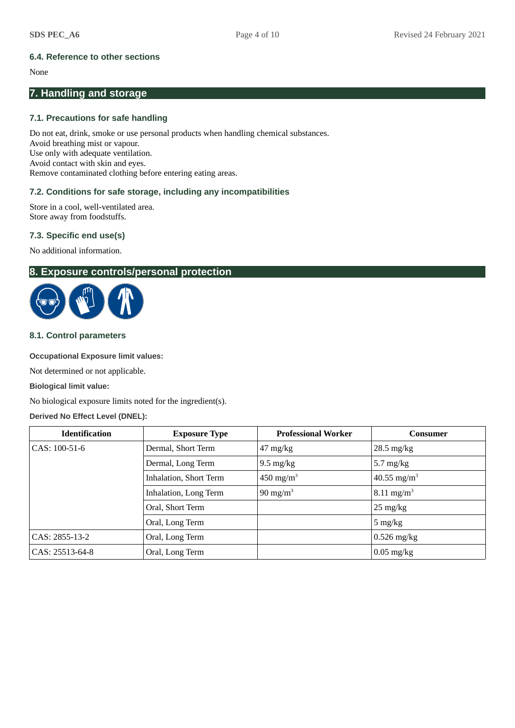# **6.4. Reference to other sections**

### None

# **7. Handling and storage**

### **7.1. Precautions for safe handling**

Do not eat, drink, smoke or use personal products when handling chemical substances. Avoid breathing mist or vapour. Use only with adequate ventilation. Avoid contact with skin and eyes. Remove contaminated clothing before entering eating areas.

### **7.2. Conditions for safe storage, including any incompatibilities**

Store in a cool, well-ventilated area. Store away from foodstuffs.

### **7.3. Specific end use(s)**

No additional information.

# **8. Exposure controls/personal protection**



# **8.1. Control parameters**

### **Occupational Exposure limit values:**

Not determined or not applicable.

### **Biological limit value:**

No biological exposure limits noted for the ingredient(s).

### **Derived No Effect Level (DNEL):**

| <b>Identification</b> | <b>Exposure Type</b>   | <b>Professional Worker</b>       | Consumer                |
|-----------------------|------------------------|----------------------------------|-------------------------|
| CAS: 100-51-6         | Dermal, Short Term     | $47 \frac{\text{mg}}{\text{kg}}$ | $28.5$ mg/kg            |
|                       | Dermal, Long Term      | $9.5 \text{ mg/kg}$              | 5.7 mg/kg               |
|                       | Inhalation, Short Term | 450 mg/m <sup>3</sup>            | 40.55 mg/m <sup>3</sup> |
|                       | Inhalation, Long Term  | 90 mg/m $3$                      | $8.11 \text{ mg/m}^3$   |
|                       | Oral, Short Term       |                                  | $25 \text{ mg/kg}$      |
|                       | Oral, Long Term        |                                  | $5 \text{ mg/kg}$       |
| CAS: 2855-13-2        | Oral, Long Term        |                                  | $0.526$ mg/kg           |
| CAS: 25513-64-8       | Oral, Long Term        |                                  | $0.05$ mg/kg            |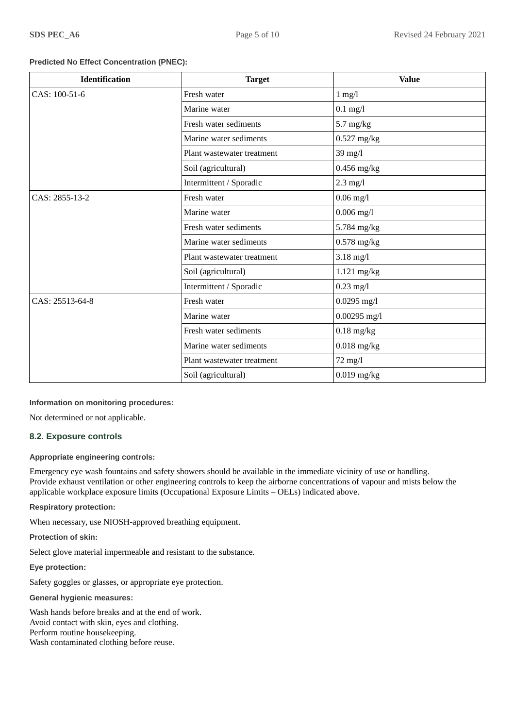### **Predicted No Effect Concentration (PNEC):**

| <b>Identification</b> | <b>Target</b>              | <b>Value</b>   |
|-----------------------|----------------------------|----------------|
| CAS: 100-51-6         | Fresh water                | $1$ mg/l       |
|                       | Marine water               | $0.1$ mg/l     |
|                       | Fresh water sediments      | $5.7$ mg/kg    |
|                       | Marine water sediments     | $0.527$ mg/kg  |
|                       | Plant wastewater treatment | 39 mg/l        |
|                       | Soil (agricultural)        | $0.456$ mg/kg  |
|                       | Intermittent / Sporadic    | $2.3$ mg/l     |
| CAS: 2855-13-2        | Fresh water                | $0.06$ mg/l    |
|                       | Marine water               | $0.006$ mg/l   |
|                       | Fresh water sediments      | 5.784 mg/kg    |
|                       | Marine water sediments     | $0.578$ mg/kg  |
|                       | Plant wastewater treatment | $3.18$ mg/l    |
|                       | Soil (agricultural)        | $1.121$ mg/kg  |
|                       | Intermittent / Sporadic    | $0.23$ mg/l    |
| CAS: 25513-64-8       | Fresh water                | $0.0295$ mg/l  |
|                       | Marine water               | $0.00295$ mg/l |
|                       | Fresh water sediments      | $0.18$ mg/kg   |
|                       | Marine water sediments     | $0.018$ mg/kg  |
|                       | Plant wastewater treatment | 72 mg/l        |
|                       | Soil (agricultural)        | $0.019$ mg/kg  |

### **Information on monitoring procedures:**

Not determined or not applicable.

### **8.2. Exposure controls**

### **Appropriate engineering controls:**

Emergency eye wash fountains and safety showers should be available in the immediate vicinity of use or handling. Provide exhaust ventilation or other engineering controls to keep the airborne concentrations of vapour and mists below the applicable workplace exposure limits (Occupational Exposure Limits – OELs) indicated above.

**Respiratory protection:**

When necessary, use NIOSH-approved breathing equipment.

**Protection of skin:**

Select glove material impermeable and resistant to the substance.

**Eye protection:**

Safety goggles or glasses, or appropriate eye protection.

**General hygienic measures:**

Wash hands before breaks and at the end of work. Avoid contact with skin, eyes and clothing. Perform routine housekeeping. Wash contaminated clothing before reuse.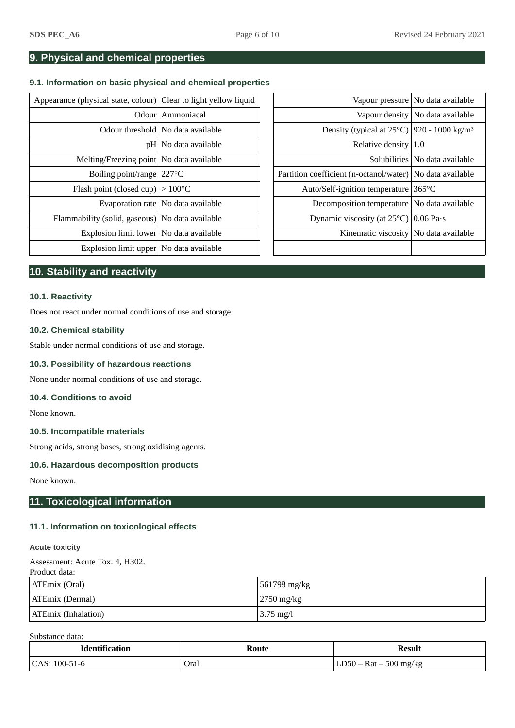# **9. Physical and chemical properties**

# **9.1. Information on basic physical and chemical properties**

| Appearance (physical state, colour) Clear to light yellow liquid |                                      |                                                                    | Vapour pressure   No data available |
|------------------------------------------------------------------|--------------------------------------|--------------------------------------------------------------------|-------------------------------------|
|                                                                  | Odour   Ammoniacal                   |                                                                    | Vapour density No data available    |
|                                                                  | Odour threshold   No data available  | Density (typical at $25^{\circ}$ C)   920 - 1000 kg/m <sup>3</sup> |                                     |
|                                                                  | $pH $ No data available              | Relative density $1.0$                                             |                                     |
| Melting/Freezing point   No data available                       |                                      |                                                                    | Solubilities   No data available    |
| Boiling point/range $ 227^{\circ}$ C                             |                                      | Partition coefficient (n-octanol/water) No data available          |                                     |
| Flash point (closed cup) $ >100^{\circ}$ C                       |                                      | Auto/Self-ignition temperature 365°C                               |                                     |
|                                                                  | Evaporation rate   No data available | Decomposition temperature   No data available                      |                                     |
| Flammability (solid, gaseous)   No data available                |                                      | Dynamic viscosity (at $25^{\circ}$ C)   0.06 Pa·s                  |                                     |
| Explosion limit lower   No data available                        |                                      | Kinematic viscosity No data available                              |                                     |
| Explosion limit upper   No data available                        |                                      |                                                                    |                                     |
|                                                                  |                                      |                                                                    |                                     |

|                                              | (physical state, colour) Clear to light yellow liquid |                                                                    | Vapour pressure   No data available |
|----------------------------------------------|-------------------------------------------------------|--------------------------------------------------------------------|-------------------------------------|
|                                              | Odour Ammoniacal                                      |                                                                    | Vapour density   No data available  |
|                                              | Odour threshold   No data available                   | Density (typical at $25^{\circ}$ C)   920 - 1000 kg/m <sup>3</sup> |                                     |
|                                              | pH   No data available                                | Relative density $ 1.0$                                            |                                     |
| Melting/Freezing point   No data available   |                                                       |                                                                    | Solubilities   No data available    |
| Boiling point/range $227^{\circ}$ C          |                                                       | Partition coefficient (n-octanol/water)   No data available        |                                     |
| Elash point (closed cup) $ >100^{\circ}$ C   |                                                       | Auto/Self-ignition temperature                                     | $365^{\circ}$ C                     |
|                                              | Evaporation rate   No data available                  | Decomposition temperature   No data available                      |                                     |
| ability (solid, gaseous)   No data available |                                                       | Dynamic viscosity (at $25^{\circ}$ C)   0.06 Pa $\cdot$ s          |                                     |
| Explosion limit lower   No data available    |                                                       | Kinematic viscosity   No data available                            |                                     |
| Explosion limit upper   No data available    |                                                       |                                                                    |                                     |

# **10. Stability and reactivity**

### **10.1. Reactivity**

Does not react under normal conditions of use and storage.

### **10.2. Chemical stability**

Stable under normal conditions of use and storage.

### **10.3. Possibility of hazardous reactions**

None under normal conditions of use and storage.

### **10.4. Conditions to avoid**

None known.

### **10.5. Incompatible materials**

Strong acids, strong bases, strong oxidising agents.

### **10.6. Hazardous decomposition products**

None known.

# **11. Toxicological information**

### **11.1. Information on toxicological effects**

### **Acute toxicity**

Assessment: Acute Tox. 4, H302.

| Product data:              |                                |  |  |
|----------------------------|--------------------------------|--|--|
| ATEmix (Oral)              | $\vert$ 561798 mg/kg           |  |  |
| ATEmix (Dermal)            | $\frac{2750 \text{ mg/kg}}{2}$ |  |  |
| <b>ATEmix (Inhalation)</b> | $3.75 \text{ mg}/l$            |  |  |

Substance data:

| <b>Identification</b> | Route | Result               |
|-----------------------|-------|----------------------|
| 100-51-6<br>  CAS:    | Oral  | 500 mg/kg<br>$Rat -$ |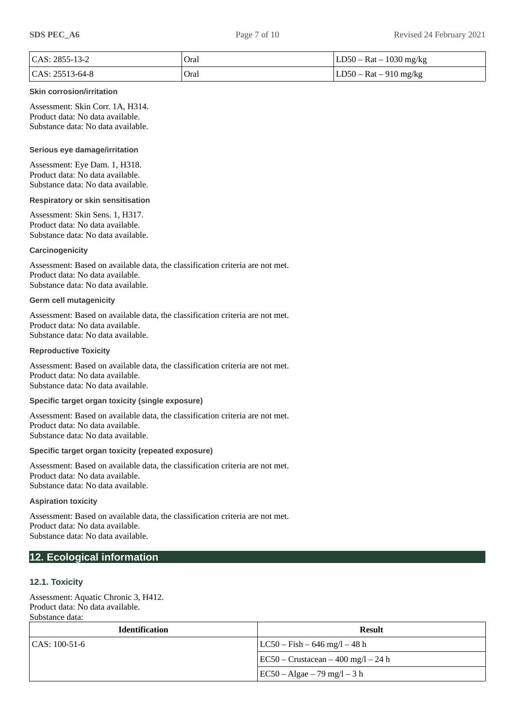| $ CAS: 2855-13-2$  | Oral | $ LD50 - Rat - 1030 mg/kg$ |
|--------------------|------|----------------------------|
| $ CAS: 25513-64-8$ | Oral | $ LD50 - Rat - 910 mg/kg$  |

### **Skin corrosion/irritation**

Assessment: Skin Corr. 1A, H314. Product data: No data available. Substance data: No data available.

#### **Serious eye damage/irritation**

Assessment: Eye Dam. 1, H318. Product data: No data available. Substance data: No data available.

#### **Respiratory or skin sensitisation**

Assessment: Skin Sens. 1, H317. Product data: No data available. Substance data: No data available.

### **Carcinogenicity**

Assessment: Based on available data, the classification criteria are not met. Product data: No data available. Substance data: No data available.

#### **Germ cell mutagenicity**

Assessment: Based on available data, the classification criteria are not met. Product data: No data available. Substance data: No data available.

### **Reproductive Toxicity**

Assessment: Based on available data, the classification criteria are not met. Product data: No data available. Substance data: No data available.

### **Specific target organ toxicity (single exposure)**

Assessment: Based on available data, the classification criteria are not met. Product data: No data available. Substance data: No data available.

### **Specific target organ toxicity (repeated exposure)**

Assessment: Based on available data, the classification criteria are not met. Product data: No data available. Substance data: No data available.

### **Aspiration toxicity**

Assessment: Based on available data, the classification criteria are not met. Product data: No data available. Substance data: No data available.

# **12. Ecological information**

### **12.1. Toxicity**

Assessment: Aquatic Chronic 3, H412. Product data: No data available. Substance data:

| <b>Identification</b> | <b>Result</b>                       |
|-----------------------|-------------------------------------|
| CAS: 100-51-6         | LC50 – Fish – 646 mg/l – 48 h       |
|                       | EC50 – Crustacean – 400 mg/l – 24 h |
|                       | $ EC50 - Algae - 79 mg/l - 3 h$     |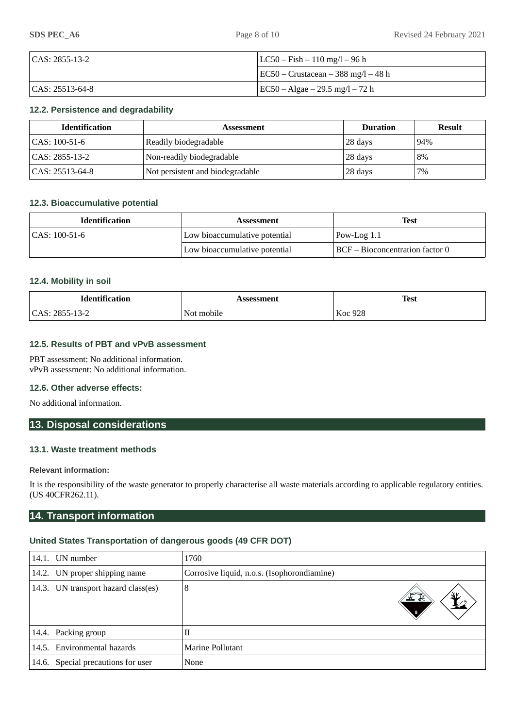| CAS: 2855-13-2  | $ LC50 - Fish - 110 mg/1 - 96 h$            |  |
|-----------------|---------------------------------------------|--|
|                 | $\vert$ EC50 – Crustacean – 388 mg/l – 48 h |  |
| CAS: 25513-64-8 | EC50 – Algae – 29.5 mg/l – 72 h             |  |

# **12.2. Persistence and degradability**

| <b>Identification</b> | Assessment                       | <b>Duration</b> | <b>Result</b> |
|-----------------------|----------------------------------|-----------------|---------------|
| $ CAS: 100-51-6$      | Readily biodegradable            | 28 days         | 94%           |
| CAS: 2855-13-2        | Non-readily biodegradable        | 28 days         | 8%            |
| CAS: 25513-64-8       | Not persistent and biodegradable | 28 days         | 7%            |

### **12.3. Bioaccumulative potential**

| <b>Identification</b> | <b>Assessment</b>             | <b>Test</b>                     |
|-----------------------|-------------------------------|---------------------------------|
| $ CAS: 100-51-6$      | Low bioaccumulative potential | Pow-Log $1.1$                   |
|                       | Low bioaccumulative potential | BCF – Bioconcentration factor 0 |

### **12.4. Mobility in soil**

| <b>Identification</b>                            | sessment   | <b>Test</b>    |
|--------------------------------------------------|------------|----------------|
| $\Gamma$ $\Delta$ S $\cdot$<br>2855-13-2<br>unu. | Not mobile | <b>Koc 928</b> |

### **12.5. Results of PBT and vPvB assessment**

PBT assessment: No additional information. vPvB assessment: No additional information.

### **12.6. Other adverse effects:**

No additional information.

# **13. Disposal considerations**

# **13.1. Waste treatment methods**

### **Relevant information:**

It is the responsibility of the waste generator to properly characterise all waste materials according to applicable regulatory entities. (US 40CFR262.11).

# **14. Transport information**

### **United States Transportation of dangerous goods (49 CFR DOT)**

| 14.1. | UN number                          | 1760                                        |
|-------|------------------------------------|---------------------------------------------|
|       | 14.2. UN proper shipping name      | Corrosive liquid, n.o.s. (Isophorondiamine) |
| 14.3. | UN transport hazard class(es)      | 8<br>گ                                      |
|       | 14.4. Packing group                | П                                           |
|       | 14.5. Environmental hazards        | Marine Pollutant                            |
|       | 14.6. Special precautions for user | None                                        |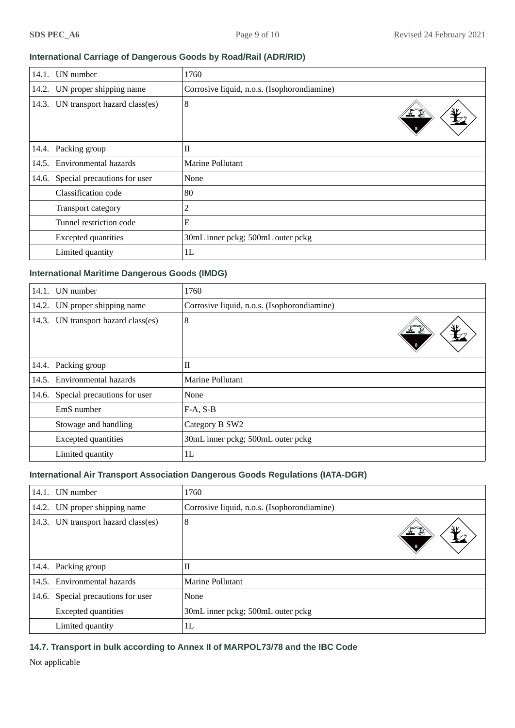# **International Carriage of Dangerous Goods by Road/Rail (ADR/RID)**

| 14.1. | UN number                     | 1760                                        |
|-------|-------------------------------|---------------------------------------------|
|       | 14.2. UN proper shipping name | Corrosive liquid, n.o.s. (Isophorondiamine) |
| 14.3. | UN transport hazard class(es) | 8<br>坐坐                                     |
| 14.4. | Packing group                 | $\rm II$                                    |
| 14.5. | Environmental hazards         | Marine Pollutant                            |
| 14.6. | Special precautions for user  | None                                        |
|       | Classification code           | 80                                          |
|       | Transport category            | 2                                           |
|       | Tunnel restriction code       | E                                           |
|       | <b>Excepted quantities</b>    | 30mL inner pckg; 500mL outer pckg           |
|       | Limited quantity              | 1L                                          |

# **International Maritime Dangerous Goods (IMDG)**

| 14.1. | UN number                           | 1760                                        |
|-------|-------------------------------------|---------------------------------------------|
|       | 14.2. UN proper shipping name       | Corrosive liquid, n.o.s. (Isophorondiamine) |
|       | 14.3. UN transport hazard class(es) | 8<br>"⊤ ≤                                   |
| 14.4. | Packing group                       | $\rm II$                                    |
|       | 14.5. Environmental hazards         | Marine Pollutant                            |
|       | 14.6. Special precautions for user  | None                                        |
|       | EmS number                          | $F-A, S-B$                                  |
|       | Stowage and handling                | Category B SW2                              |
|       | <b>Excepted quantities</b>          | 30mL inner pckg; 500mL outer pckg           |
|       | Limited quantity                    | 1L                                          |

### **International Air Transport Association Dangerous Goods Regulations (IATA-DGR)**

| 14.1. UN number                     | 1760                                        |
|-------------------------------------|---------------------------------------------|
| 14.2. UN proper shipping name       | Corrosive liquid, n.o.s. (Isophorondiamine) |
| 14.3. UN transport hazard class(es) | 8                                           |
| 14.4. Packing group                 | П                                           |
| 14.5. Environmental hazards         | Marine Pollutant                            |
| 14.6. Special precautions for user  | None                                        |
| <b>Excepted quantities</b>          | 30mL inner pckg; 500mL outer pckg           |
| Limited quantity                    | 1L                                          |

**14.7. Transport in bulk according to Annex II of MARPOL73/78 and the IBC Code**

Not applicable